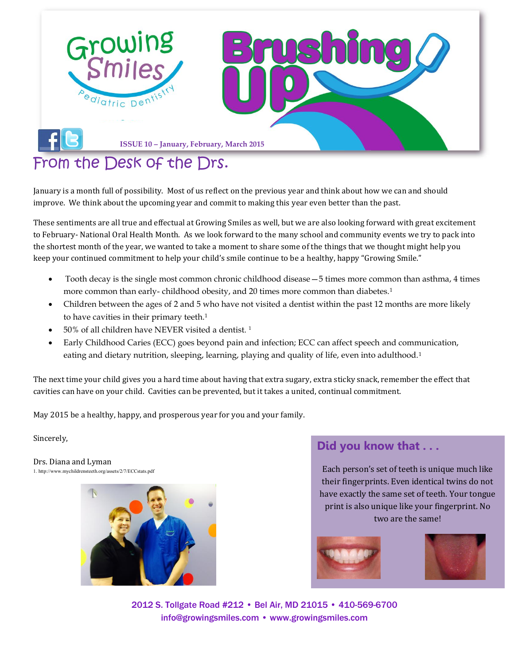

## [From the Desk of the Drs.](file:///C:/Users/user.DENTAL/Desktop/Newsletter/facebook)

January is a month full of possibility. Most of us reflect on the previous year and think about how we can and should improve. We think about the upcoming year and commit to making this year even better than the past.

These sentiments are all true and effectual at Growing Smiles as well, but we are also looking forward with great excitement to February- National Oral Health Month. As we look forward to the many school and community events we try to pack into the shortest month of the year, we wanted to take a moment to share some of the things that we thought might help you keep your continued commitment to help your child's smile continue to be a healthy, happy "Growing Smile."

- Tooth decay is the single most common chronic childhood disease—5 times more common than asthma, 4 times more common than early- childhood obesity, and 20 times more common than diabetes.<sup>1</sup>
- Children between the ages of 2 and 5 who have not visited a dentist within the past 12 months are more likely to have cavities in their primary teeth.<sup>1</sup>
- 50% of all children have NEVER visited a dentist.<sup>1</sup>
- Early Childhood Caries (ECC) goes beyond pain and infection; ECC can affect speech and communication, eating and dietary nutrition, sleeping, learning, playing and quality of life, even into adulthood.<sup>1</sup>

The next time your child gives you a hard time about having that extra sugary, extra sticky snack, remember the effect that cavities can have on your child. Cavities can be prevented, but it takes a united, continual commitment.

May 2015 be a healthy, happy, and prosperous year for you and your family.

Sincerely,

Drs. Diana and Lyman 1. http://www.mychildrensteeth.org/assets/2/7/ECCstats.pdf



### **Did you know that . . .**

Each person's set of teeth is unique much like their fingerprints. Even identical twins do not have exactly the same set of teeth. Your tongue print is also unique like your fingerprint. No two are the same!





2012 S. Tollgate Road #212 • Bel Air, MD 21015 • 410-569-6700 [info@growingsmiles.com](mailto:info@growingsmiles.com) • [www.growingsmiles.com](http://www.growingsmiles.com/)